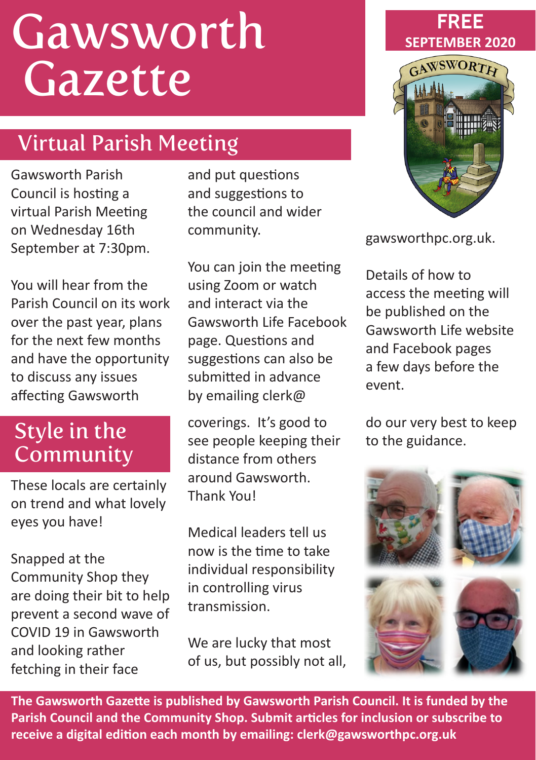# **Gawsworth** Gazette

## Virtual Parish Meeting

Gawsworth Parish Council is hosting a virtual Parish Meeting on Wednesday 16th September at 7:30pm.

You will hear from the Parish Council on its work over the past year, plans for the next few months and have the opportunity to discuss any issues affecting Gawsworth

## Style in the Community

These locals are certainly on trend and what lovely eyes you have!

Snapped at the Community Shop they are doing their bit to help prevent a second wave of COVID 19 in Gawsworth and looking rather fetching in their face

and put questions and suggestions to the council and wider community.

You can join the meeting using Zoom or watch and interact via the Gawsworth Life Facebook page. Questions and suggestions can also be submitted in advance by emailing clerk@

coverings. It's good to see people keeping their distance from others around Gawsworth. Thank You!

Medical leaders tell us now is the time to take individual responsibility in controlling virus transmission.

We are lucky that most of us, but possibly not all,





gawsworthpc.org.uk.

Details of how to access the meeting will be published on the Gawsworth Life website and Facebook pages a few days before the event.

do our very best to keep to the guidance.



**The Gawsworth Gazette is published by Gawsworth Parish Council. It is funded by the Parish Council and the Community Shop. Submit articles for inclusion or subscribe to receive a digital edition each month by emailing: clerk@gawsworthpc.org.uk**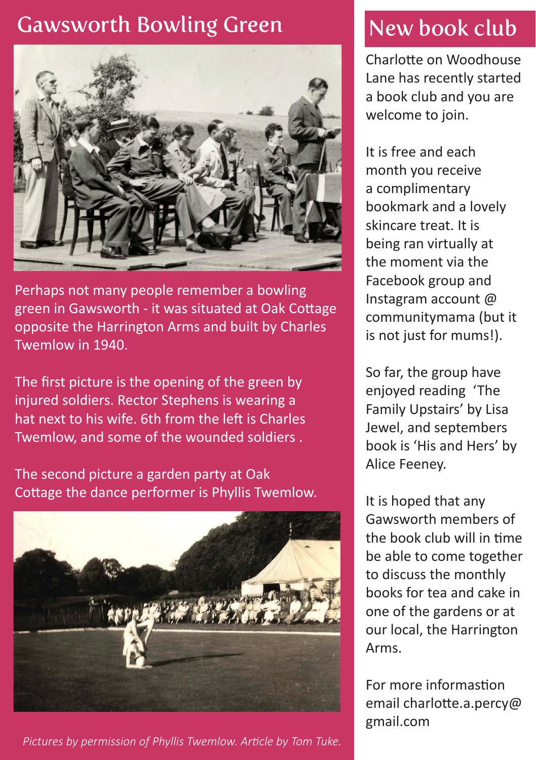### Gawsworth Bowling Green



Perhaps not many people remember a bowling green in Gawsworth - it was situated at Oak Cottage opposite the Harrington Arms and built by Charles Twemlow in 1940.

The first picture is the opening of the green by injured soldiers. Rector Stephens is wearing a hat next to his wife. 6th from the left is Charles Twemlow, and some of the wounded soldiers .

The second picture a garden party at Oak Cottage the dance performer is Phyllis Twemlow.



*Pictures by permission of Phyllis Twemlow. Article by Tom Tuke.*

## New book club

Charlotte on Woodhouse Lane has recently started a book club and you are welcome to join.

It is free and each month you receive a complimentary bookmark and a lovely skincare treat. It is being ran virtually at the moment via the Facebook group and Instagram account @ communitymama (but it is not just for mums!).

So far, the group have enjoyed reading 'The Family Upstairs' by Lisa Jewel, and septembers book is 'His and Hers' by Alice Feeney.

It is hoped that any Gawsworth members of the book club will in time be able to come together to discuss the monthly books for tea and cake in one of the gardens or at our local, the Harrington Arms.

For more informastion email charlotte.a.percy@ gmail.com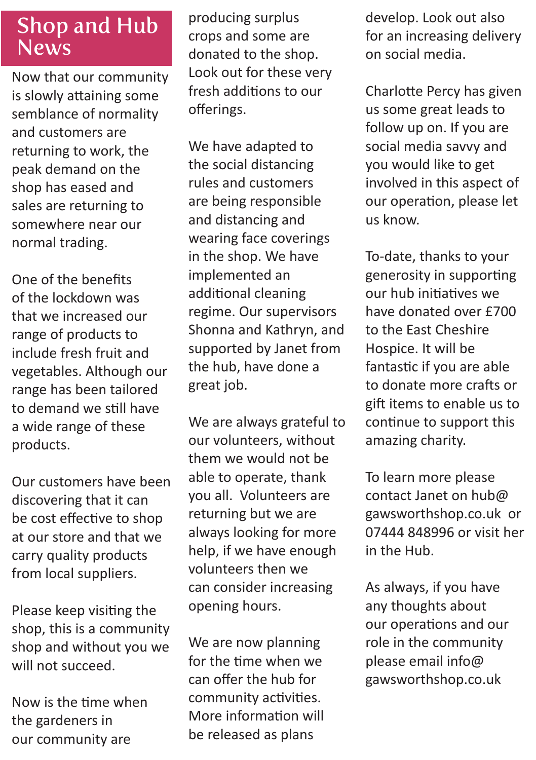### Shop and Hub News

Now that our community is slowly attaining some semblance of normality and customers are returning to work, the peak demand on the shop has eased and sales are returning to somewhere near our normal trading.

One of the benefits of the lockdown was that we increased our range of products to include fresh fruit and vegetables. Although our range has been tailored to demand we still have a wide range of these products.

Our customers have been discovering that it can be cost effective to shop at our store and that we carry quality products from local suppliers.

Please keep visiting the shop, this is a community shop and without you we will not succeed.

Now is the time when the gardeners in our community are

producing surplus crops and some are donated to the shop. Look out for these very fresh additions to our offerings.

We have adapted to the social distancing rules and customers are being responsible and distancing and wearing face coverings in the shop. We have implemented an additional cleaning regime. Our supervisors Shonna and Kathryn, and supported by Janet from the hub, have done a great job.

We are always grateful to our volunteers, without them we would not be able to operate, thank you all. Volunteers are returning but we are always looking for more help, if we have enough volunteers then we can consider increasing opening hours.

We are now planning for the time when we can offer the hub for community activities. More information will be released as plans

develop. Look out also for an increasing delivery on social media.

Charlotte Percy has given us some great leads to follow up on. If you are social media savvy and you would like to get involved in this aspect of our operation, please let us know.

To-date, thanks to your generosity in supporting our hub initiatives we have donated over £700 to the East Cheshire Hospice. It will be fantastic if you are able to donate more crafts or gift items to enable us to continue to support this amazing charity.

To learn more please contact Janet on hub@ gawsworthshop.co.uk or 07444 848996 or visit her in the Hub.

As always, if you have any thoughts about our operations and our role in the community please email info@ gawsworthshop.co.uk